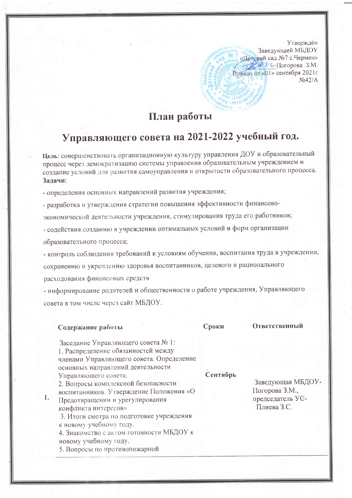Утверждён Заведующей МБДОУ «Детский сад №7 с. Чермен» Деген Погорова З.М. Приказ от «01» сентября 2021г  $N<sub>0</sub>42/A$ 

## План работы

## Управляющего совета на 2021-2022 учебный год.

Цель: совершенствовать организационную культуру управления ДОУ и образовательный процесс через демократизацию системы управления образовательным учреждением и создание условий для развития самоуправления и открытости образовательного процесса. Залачи:

- определения основных направлений развития учреждения;

- разработка и утверждения стратегии повышения эффективности финансово-

экономической деятельности учреждения, стимулирования труда его работников;

- содействия созданию в учреждении оптимальных условий и форм организации

образовательного процесса;

- контроль соблюдения требований к условиям обучения, воспитания труда в учреждении,

сохранению и укреплению здоровья воспитанников, целевого и рационального

расходования финансовых средств

- информирование родителей и общественности о работе учреждения, Управляющего совета в том числе через сайт МБДОУ.

## Содержание работы

 $\mathbf{1}$ .

Сроки

Ответственный

| Заседание Управляющего совета № 1:<br>1. Распределение обязанностей между<br>членами Управляющего совета. Определение<br>основных направлений деятельности<br>Управляющего совета.<br>2. Вопросы комплексной безопасности<br>воспитанников. Утверждение Положения «О<br>Предотвращении и урегулирования<br>конфликта интересов»<br>3. Итоги смотра по подготовке учреждения<br>к новому учебному году.<br>4. Знакомство с актом готовности МБДОУ к<br>новому учебному году. | Сентябрь | Заведующая МБДОУ-<br>Погорова З.М.,<br>председатель УС-<br>Плиева З.С. |
|-----------------------------------------------------------------------------------------------------------------------------------------------------------------------------------------------------------------------------------------------------------------------------------------------------------------------------------------------------------------------------------------------------------------------------------------------------------------------------|----------|------------------------------------------------------------------------|
|-----------------------------------------------------------------------------------------------------------------------------------------------------------------------------------------------------------------------------------------------------------------------------------------------------------------------------------------------------------------------------------------------------------------------------------------------------------------------------|----------|------------------------------------------------------------------------|

5. Вопросы по противопожарной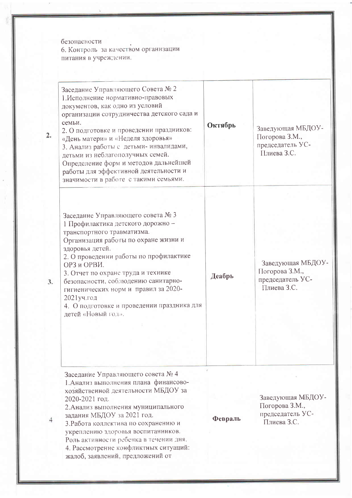безопасности оезонасности<br>6. Контроль за качеством организации<br>питания в учреждении.

| 2. | Заседание Управляющего Совета № 2<br>1. Исполнение нормативно-правовых<br>документов, как одно из условий<br>организации сотрудничества детского сада и<br>семьи.<br>2. О подготовке и проведении праздников:<br>«День матери» и «Неделя здоровья»<br>3. Анализ работы с детьми-инвалидами,<br>детьми из неблагополучных семей.<br>Определение форм и методов дальнейшей<br>работы для эффективной деятельности и<br>значимости в работе с такими семьями. | Октябрь | Заведующая МБДОУ-<br>Погорова З.М.,<br>председатель УС-<br>Плиева З.С. |
|----|------------------------------------------------------------------------------------------------------------------------------------------------------------------------------------------------------------------------------------------------------------------------------------------------------------------------------------------------------------------------------------------------------------------------------------------------------------|---------|------------------------------------------------------------------------|
| 3. | Заседание Управляющего совета № 3<br>1 Профилактика детского дорожно -<br>транспортного травматизма.<br>Организация работы по охране жизни и<br>здоровья детей.<br>2. О проведении работы по профилактике<br>ОРЗ и ОРВИ.<br>3. Отчет по охране труда и технике<br>безопасности, соблюдению санитарно-<br>гигиенических норм и правил за 2020-<br>2021уч.год<br>4. О подготовке и проведении праздника для<br>детей «Новый год».                            | Деабрь  | Заведующая МБДОУ-<br>Погорова З.М.,<br>председатель УС-<br>Плиева З.С. |
|    | Заседание Управляющего совета № 4<br>1. Анализ выполнения плана финансово-<br>хозяйственной деятельности МБДОУ за<br>2020-2021 год.<br>2. Анализ выполнения муниципального<br>задания МБДОУ за 2021 год.<br>3. Работа коллектива по сохранению и<br>укреплению здоровья воспитанников.<br>Роль активности ребенка в течении дня.<br>4. Рассмотрение конфликтных ситуаций:<br>жалоб, заявлений, предложений от                                              | Февраль | Заведующая МБДОУ-<br>Погорова З.М.,<br>председатель УС-<br>Плиева З.С. |